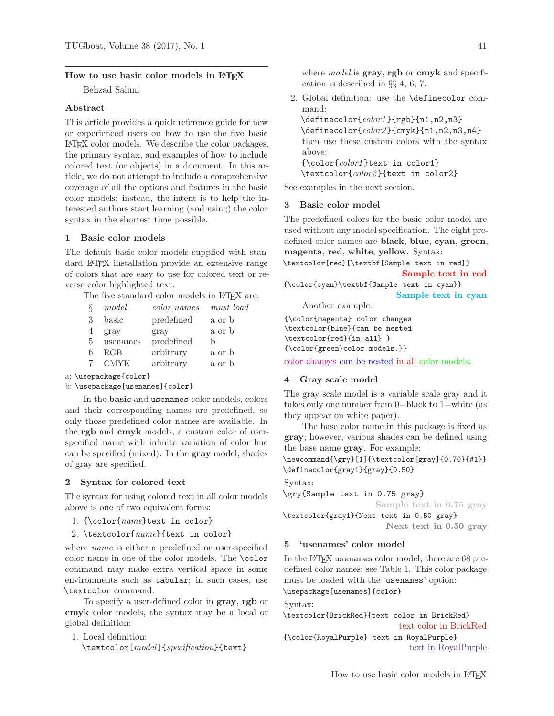### How to use basic color models in LATEX

Behzad Salimi

#### Abstract

This article provides a quick reference guide for new or experienced users on how to use the five basic L<sup>A</sup>TEX color models. We describe the color packages, the primary syntax, and examples of how to include colored text (or objects) in a document. In this article, we do not attempt to include a comprehensive coverage of all the options and features in the basic color models; instead, the intent is to help the interested authors start learning (and using) the color syntax in the shortest time possible.

### 1 Basic color models

The default basic color models supplied with standard L<sup>A</sup>TEX installation provide an extensive range of colors that are easy to use for colored text or reverse color highlighted text.

The five standard color models in LAT<sub>EX</sub> are:

|   | model       | color names | must load |
|---|-------------|-------------|-----------|
| 3 | basic       | predefined  | a or b    |
| 4 | gray        | gray        | a or b    |
| 5 | usenames    | predefined  | h         |
|   | RGB         | arbitrary   | a or b    |
|   | <b>CMYK</b> | arbitrary   | a or b    |

a: \usepackage{color}

```
b: \usepackage[usenames]{color}
```
In the basic and usenames color models, colors and their corresponding names are predefined, so only those predefined color names are available. In the rgb and cmyk models, a custom color of userspecified name with infinite variation of color hue can be specified (mixed). In the gray model, shades of gray are specified.

### 2 Syntax for colored text

The syntax for using colored text in all color models above is one of two equivalent forms:

- 1. {\color{name}text in color}
- 2. \textcolor{name}{text in color}

where name is either a predefined or user-specified color name in one of the color models. The \color command may make extra vertical space in some environments such as tabular; in such cases, use \textcolor command.

To specify a user-defined color in gray, rgb or cmyk color models, the syntax may be a local or global definition:

1. Local definition: \textcolor[model]{specification}{text} where *model* is **gray**, **rgb** or **cmyk** and specification is described in §§ 4, 6, 7.

2. Global definition: use the \definecolor command:

\definecolor{color1 }{rgb}{n1,n2,n3} \definecolor{color2 }{cmyk}{n1,n2,n3,n4} then use these custom colors with the syntax above: {\color{color1 }text in color1} \textcolor{color2 }{text in color2}

See examples in the next section.

#### 3 Basic color model

The predefined colors for the basic color model are used without any model specification. The eight predefined color names are black, blue, cyan, green, magenta, red, white, yellow. Syntax:

\textcolor{red}{\textbf{Sample text in red}} Sample text in red

{\color{cyan}\textbf{Sample text in cyan}} Sample text in cyan

Another example:

{\color{magenta} color changes \textcolor{blue}{can be nested \textcolor{red}{in all} } {\color{green}color models.}}

color changes can be nested in all color models.

#### 4 Gray scale model

The gray scale model is a variable scale gray and it takes only one number from 0=black to 1=white (as they appear on white paper).

The base color name in this package is fixed as gray; however, various shades can be defined using the base name gray. For example:

\newcommand{\gry}[1]{\textcolor[gray]{0.70}{#1}} \definecolor{gray1}{gray}{0.50}

Syntax:

```
\gry{Sample text in 0.75 gray}
```
Sample text in 0.75 gray

\textcolor{gray1}{Next text in 0.50 gray} Next text in 0.50 gray

# 5 'usenames' color model

In the LAT<sub>F</sub>X usenames color model, there are 68 predefined color names; see Table 1. This color package must be loaded with the 'usenames' option: \usepackage[usenames]{color}

Syntax:

\textcolor{BrickRed}{text color in BrickRed} text color in BrickRed

{\color{RoyalPurple} text in RoyalPurple} text in RoyalPurple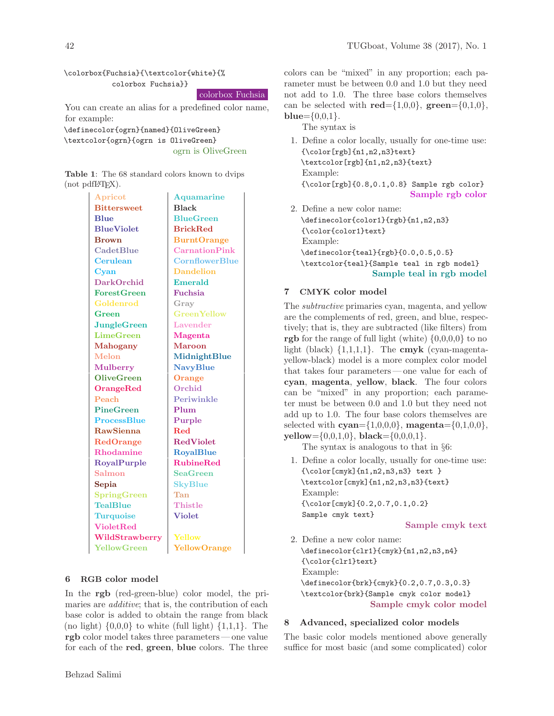\colorbox{Fuchsia}{\textcolor{white}{% colorbox Fuchsia}}

colorbox Fuchsia

You can create an alias for a predefined color name, for example:

\definecolor{ogrn}{named}{OliveGreen} \textcolor{ogrn}{ogrn is OliveGreen} ogrn is OliveGreen

| <b>Table 1:</b> The 68 standard colors known to dvips |  |  |  |
|-------------------------------------------------------|--|--|--|
| (not pdiffEX).                                        |  |  |  |

| Apricot            | <b>Aquamarine</b>     |  |  |  |
|--------------------|-----------------------|--|--|--|
| <b>Bittersweet</b> | <b>Black</b>          |  |  |  |
| <b>B</b> lue       | <b>BlueGreen</b>      |  |  |  |
| <b>BlueViolet</b>  | <b>BrickRed</b>       |  |  |  |
| <b>Brown</b>       | <b>BurntOrange</b>    |  |  |  |
| <b>CadetBlue</b>   | <b>CarnationPink</b>  |  |  |  |
| Cerulean           | <b>CornflowerBlue</b> |  |  |  |
| Cyan               | <b>Dandelion</b>      |  |  |  |
| <b>DarkOrchid</b>  | <b>Emerald</b>        |  |  |  |
| <b>ForestGreen</b> | Fuchsia               |  |  |  |
| Goldenrod          | Gray                  |  |  |  |
| Green              | <b>Green Yellow</b>   |  |  |  |
| $J$ ungle $G$ reen | Lavender              |  |  |  |
| <b>LimeGreen</b>   | <b>Magenta</b>        |  |  |  |
| <b>Mahogany</b>    | <b>Maroon</b>         |  |  |  |
| Melon              | MidnightBlue          |  |  |  |
| <b>Mulberry</b>    | <b>NavyBlue</b>       |  |  |  |
| <b>OliveGreen</b>  | Orange                |  |  |  |
| <b>OrangeRed</b>   | Orchid                |  |  |  |
| Peach              | Periwinkle            |  |  |  |
| <b>PineGreen</b>   | Plum                  |  |  |  |
| <b>ProcessBlue</b> | Purple                |  |  |  |
| <b>RawSienna</b>   | <b>Red</b>            |  |  |  |
| <b>RedOrange</b>   | <b>RedViolet</b>      |  |  |  |
| Rhodamine          | <b>RoyalBlue</b>      |  |  |  |
| RoyalPurple        | <b>RubineRed</b>      |  |  |  |
| Salmon             | <b>SeaGreen</b>       |  |  |  |
| Sepia              | <b>SkyBlue</b>        |  |  |  |
| <b>SpringGreen</b> | Tan                   |  |  |  |
| <b>TealBlue</b>    | Thistle               |  |  |  |
| <b>Turquoise</b>   | <b>Violet</b>         |  |  |  |
| <b>VioletRed</b>   |                       |  |  |  |
| WildStrawberry     | Yellow                |  |  |  |
| YellowGreen        | <b>YellowOrange</b>   |  |  |  |

#### 6 RGB color model

In the rgb (red-green-blue) color model, the primaries are *additive*; that is, the contribution of each base color is added to obtain the range from black (no light)  $\{0,0,0\}$  to white (full light)  $\{1,1,1\}$ . The rgb color model takes three parameters— one value for each of the red, green, blue colors. The three colors can be "mixed" in any proportion; each parameter must be between 0.0 and 1.0 but they need not add to 1.0. The three base colors themselves can be selected with  $\text{red}=\{1,0,0\}$ ,  $\text{green}=\{0,1,0\}$ ,  $blue = \{0,0,1\}.$ 

The syntax is

- 1. Define a color locally, usually for one-time use: {\color[rgb]{n1,n2,n3}text} \textcolor[rgb]{n1,n2,n3}{text} Example: {\color[rgb]{0.8,0.1,0.8} Sample rgb color} Sample rgb color
- 2. Define a new color name: \definecolor{color1}{rgb}{n1,n2,n3} {\color{color1}text} Example: \definecolor{teal}{rgb}{0.0,0.5,0.5} \textcolor{teal}{Sample teal in rgb model} Sample teal in rgb model

### 7 CMYK color model

The subtractive primaries cyan, magenta, and yellow are the complements of red, green, and blue, respectively; that is, they are subtracted (like filters) from rgb for the range of full light (white)  $\{0,0,0,0\}$  to no light (black)  $\{1,1,1,1\}$ . The cmyk (cyan-magentayellow-black) model is a more complex color model that takes four parameters— one value for each of cyan, magenta, yellow, black. The four colors can be "mixed" in any proportion; each parameter must be between 0.0 and 1.0 but they need not add up to 1.0. The four base colors themselves are selected with  $\text{cyan}=\{1,0,0,0\}$ , magenta= $\{0,1,0,0\}$ , yellow= $\{0,0,1,0\}$ , black= $\{0,0,0,1\}$ .

The syntax is analogous to that in §6:

1. Define a color locally, usually for one-time use: {\color[cmyk]{n1,n2,n3,n3} text } \textcolor[cmyk]{n1,n2,n3,n3}{text} Example: {\color[cmyk]{0.2,0.7,0.1,0.2} Sample cmyk text}

#### Sample cmyk text

2. Define a new color name: \definecolor{clr1}{cmyk}{n1,n2,n3,n4} {\color{clr1}text} Example: \definecolor{brk}{cmyk}{0.2,0.7,0.3,0.3} \textcolor{brk}{Sample cmyk color model} Sample cmyk color model

## 8 Advanced, specialized color models

The basic color models mentioned above generally suffice for most basic (and some complicated) color